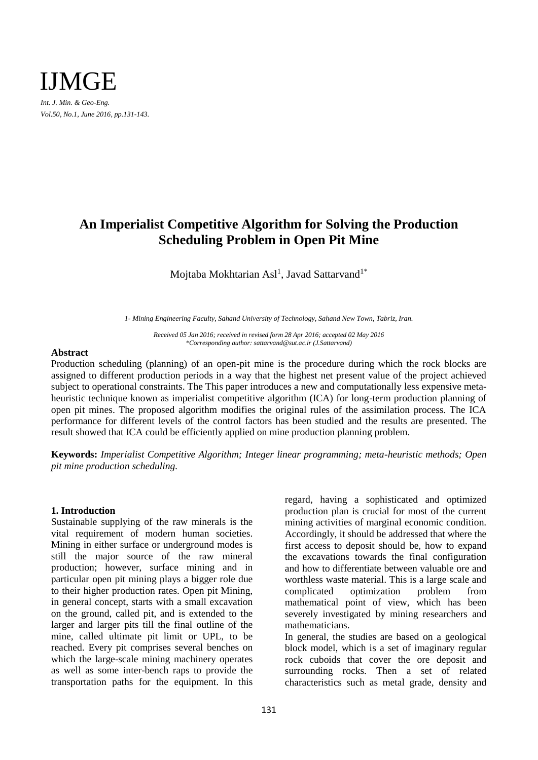

# **An Imperialist Competitive Algorithm for Solving the Production Scheduling Problem in Open Pit Mine**

Mojtaba Mokhtarian Asl $^{\rm l}$ , Javad Sattarvand $^{\rm l}{}^*$ 

*1- Mining Engineering Faculty, Sahand University of Technology, Sahand New Town, Tabriz, Iran.*

*Received 05 Jan 2016; received in revised form 28 Apr 2016; accepted 02 May 2016 \*Corresponding author: sattarvand@sut.ac.ir (J.Sattarvand)*

## **Abstract**

Production scheduling (planning) of an open-pit mine is the procedure during which the rock blocks are assigned to different production periods in a way that the highest net present value of the project achieved subject to operational constraints. The This paper introduces a new and computationally less expensive metaheuristic technique known as imperialist competitive algorithm (ICA) for long-term production planning of open pit mines. The proposed algorithm modifies the original rules of the assimilation process. The ICA performance for different levels of the control factors has been studied and the results are presented. The result showed that ICA could be efficiently applied on mine production planning problem.

**Keywords:** *Imperialist Competitive Algorithm; Integer linear programming; meta-heuristic methods; Open pit mine production scheduling.*

# **1. Introduction**

Sustainable supplying of the raw minerals is the vital requirement of modern human societies. Mining in either surface or underground modes is still the major source of the raw mineral production; however, surface mining and in particular open pit mining plays a bigger role due to their higher production rates. Open pit Mining, in general concept, starts with a small excavation on the ground, called pit, and is extended to the larger and larger pits till the final outline of the mine, called ultimate pit limit or UPL, to be reached. Every pit comprises several benches on which the large-scale mining machinery operates as well as some inter-bench raps to provide the transportation paths for the equipment. In this regard, having a sophisticated and optimized production plan is crucial for most of the current mining activities of marginal economic condition. Accordingly, it should be addressed that where the first access to deposit should be, how to expand the excavations towards the final configuration and how to differentiate between valuable ore and worthless waste material. This is a large scale and complicated optimization problem from mathematical point of view, which has been severely investigated by mining researchers and mathematicians.

In general, the studies are based on a geological block model, which is a set of imaginary regular rock cuboids that cover the ore deposit and surrounding rocks. Then a set of related characteristics such as metal grade, density and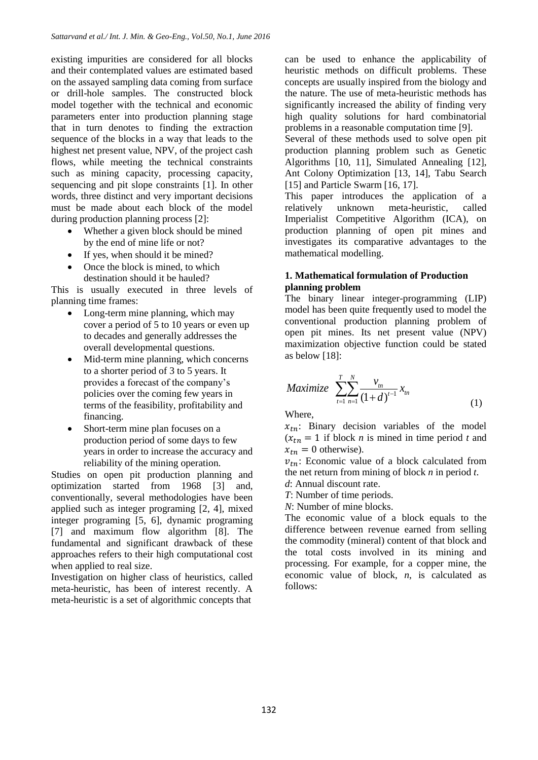existing impurities are considered for all blocks and their contemplated values are estimated based on the assayed sampling data coming from surface or drill-hole samples. The constructed block model together with the technical and economic parameters enter into production planning stage that in turn denotes to finding the extraction sequence of the blocks in a way that leads to the highest net present value, NPV, of the project cash flows, while meeting the technical constraints such as mining capacity, processing capacity, sequencing and pit slope constraints [1]. In other words, three distinct and very important decisions must be made about each block of the model during production planning process [2]:

- Whether a given block should be mined by the end of mine life or not?
- If yes, when should it be mined?
- Once the block is mined, to which destination should it be hauled?

This is usually executed in three levels of planning time frames:

- Long-term mine planning, which may cover a period of 5 to 10 years or even up to decades and generally addresses the overall developmental questions.
- Mid-term mine planning, which concerns to a shorter period of 3 to 5 years. It provides a forecast of the company's policies over the coming few years in terms of the feasibility, profitability and financing.
- Short-term mine plan focuses on a production period of some days to few years in order to increase the accuracy and reliability of the mining operation.

Studies on open pit production planning and optimization started from 1968 [3] and, conventionally, several methodologies have been applied such as integer programing [2, 4], mixed integer programing [5, 6], dynamic programing [7] and maximum flow algorithm [8]. The fundamental and significant drawback of these approaches refers to their high computational cost when applied to real size.

Investigation on higher class of heuristics, called meta-heuristic, has been of interest recently. A meta-heuristic is a set of algorithmic concepts that

can be used to enhance the applicability of heuristic methods on difficult problems. These concepts are usually inspired from the biology and the nature. The use of meta-heuristic methods has significantly increased the ability of finding very high quality solutions for hard combinatorial problems in a reasonable computation time [9].

Several of these methods used to solve open pit production planning problem such as Genetic Algorithms [10, 11], Simulated Annealing [12], Ant Colony Optimization [13, 14], Tabu Search [15] and Particle Swarm [16, 17].

This paper introduces the application of a relatively unknown meta-heuristic, called Imperialist Competitive Algorithm (ICA), on production planning of open pit mines and investigates its comparative advantages to the mathematical modelling.

# **1. Mathematical formulation of Production planning problem**

The binary linear integer-programming (LIP) model has been quite frequently used to model the conventional production planning problem of open pit mines. Its net present value (NPV) maximization objective function could be stated as below [18]:

$$
Maximize \sum_{t=1}^{T} \sum_{n=1}^{N} \frac{v_m}{(1+d)^{t-1}} x_m
$$
 (1)

Where,

 $x_{tn}$ : Binary decision variables of the model  $(x<sub>tn</sub> = 1$  if block *n* is mined in time period *t* and  $x_{tn} = 0$  otherwise).

 $v_{tn}$ : Economic value of a block calculated from the net return from mining of block *n* in period *t*.

*d*: Annual discount rate.

*T*: Number of time periods.

*N*: Number of mine blocks.

The economic value of a block equals to the difference between revenue earned from selling the commodity (mineral) content of that block and the total costs involved in its mining and processing. For example, for a copper mine, the economic value of block, *n*, is calculated as follows: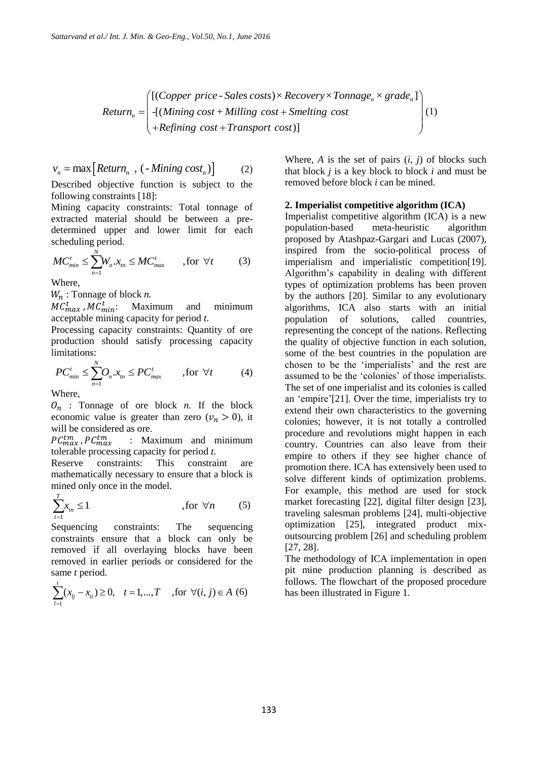$$
Return_{n} = \begin{pmatrix} [(Copper\ price - Sales\ costs) \times Recovery \times Tonnage_{n} \times grade_{n}] \\ \n-([Mining\ cost + Milling\ cost + Smelting\ cost \\ \n+Refining\ cost + Transport\ cost)] \n\end{pmatrix} (1)
$$

$$
v_n = \max\left[Return_n , (-Mining cost_n)\right] \tag{2}
$$

Described objective function is subject to the following constraints [18]:

Mining capacity constraints: Total tonnage of extracted material should be between a predetermined upper and lower limit for each scheduling period.

$$
MC_{min}^t \le \sum_{n=1}^N W_n \cdot x_m \le MC_{max}^t \qquad \text{, for } \forall t \tag{3}
$$

Where,

: Tonnage of block *n.*

 $MC_{max}^t$  ,  $MC_{min}^t$ : Maximum and minimum acceptable mining capacity for period *t.*

Processing capacity constraints: Quantity of ore production should satisfy processing capacity limitations:

$$
PC_{min}^t \le \sum_{n=1}^N O_n \cdot x_m \le PC_{max}^t \qquad , \text{for } \forall t \tag{4}
$$

Where,

 $O_n$ : Tonnage of ore block *n*. If the block economic value is greater than zero  $(v_n > 0)$ , it will be considered as ore.

 $PC^{tm}_{max}$  ,  $PC^{tm}_{max}$  : Maximum and minimum tolerable processing capacity for period *t.*

Reserve constraints: This constraint are mathematically necessary to ensure that a block is mined only once in the model.

$$
\sum_{t=1}^{T} x_{tn} \le 1 \qquad \qquad \text{, for } \forall n \qquad (5)
$$

Sequencing constraints: The sequencing constraints ensure that a block can only be removed if all overlaying blocks have been removed in earlier periods or considered for the same *t* period.

$$
\sum_{i=1}^{t} (x_{ij} - x_{ii}) \ge 0, \quad t = 1, ..., T \quad \text{, for } \forall (i, j) \in A \tag{6}
$$

Where,  $A$  is the set of pairs  $(i, j)$  of blocks such that block *j* is a key block to block *i* and must be removed before block *i* can be mined.

## **2. Imperialist competitive algorithm (ICA)**

[(Copper price - Sales costs)× Recovery× Tonnage<sub>s</sub>× grade<sub>n</sub><br>  $\mathbf{r} = \mathbf{R}(\mathbf{G})$  (Addining cost + Miling cost + Similar cost - Hefining cost + Transport costs)<br>
Where, A is the set of pairs (i,  $\mathbf{R}(\mathbf{G})$  in the s Imperialist competitive algorithm (ICA) is a new population-based meta-heuristic algorithm proposed by Atashpaz-Gargari and Lucas (2007), inspired from the socio-political process of imperialism and imperialistic competition[19]. Algorithm's capability in dealing with different types of optimization problems has been proven by the authors [20]. Similar to any evolutionary algorithms, ICA also starts with an initial population of solutions, called countries, representing the concept of the nations. Reflecting the quality of objective function in each solution, some of the best countries in the population are chosen to be the 'imperialists' and the rest are assumed to be the 'colonies' of those imperialists. The set of one imperialist and its colonies is called an 'empire'[21]. Over the time, imperialists try to extend their own characteristics to the governing colonies; however, it is not totally a controlled procedure and revolutions might happen in each country. Countries can also leave from their empire to others if they see higher chance of promotion there. ICA has extensively been used to solve different kinds of optimization problems. For example, this method are used for stock market forecasting [22], digital filter design [23], traveling salesman problems [24], multi-objective optimization [25], integrated product mixoutsourcing problem [26] and scheduling problem [27, 28].

The methodology of ICA implementation in open pit mine production planning is described as follows. The flowchart of the proposed procedure has been illustrated in Figure 1.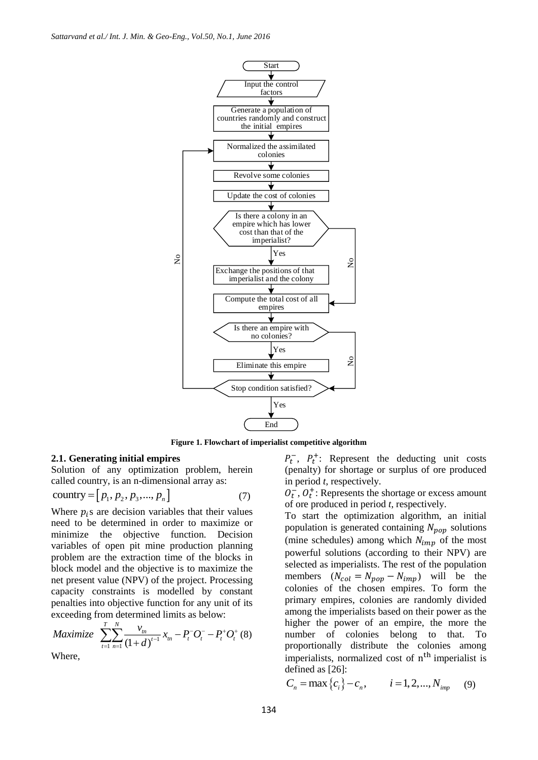

**Figure 1. Flowchart of imperialist competitive algorithm**

## **2.1. Generating initial empires**

Solution of any optimization problem, herein called country, is an n-dimensional array as:

$$
country = [p_1, p_2, p_3, ..., p_n]
$$
 (7)

Where  $p_i$ s are decision variables that their values need to be determined in order to maximize or minimize the objective function. Decision variables of open pit mine production planning problem are the extraction time of the blocks in block model and the objective is to maximize the net present value (NPV) of the project. Processing capacity constraints is modelled by constant penalties into objective function for any unit of its exceeding from determined limits as below:

$$
Maximize \sum_{t=1}^{T} \sum_{n=1}^{N} \frac{v_m}{(1+d)^{t-1}} x_m - P_t^{-} O_t^{-} - P_t^{+} O_t^{+} (8)
$$

Where,

 $P_t^-$ ,  $P_t^+$ : Represent the deducting unit costs (penalty) for shortage or surplus of ore produced in period *t*, respectively.

 $O_t^-, O_t^+$ : Represents the shortage or excess amount of ore produced in period *t*, respectively.

To start the optimization algorithm, an initial population is generated containing  $N_{\text{non}}$  solutions (mine schedules) among which  $N_{imp}$  of the most powerful solutions (according to their NPV) are selected as imperialists. The rest of the population members  $(N_{col} = N_{pop} - N_{imp})$  will be the colonies of the chosen empires. To form the primary empires, colonies are randomly divided among the imperialists based on their power as the higher the power of an empire, the more the number of colonies belong to that. To proportionally distribute the colonies among imperialists, normalized cost of n<sup>th</sup> imperialist is defined as [26]:

$$
C_n = \max\{c_i\} - c_n, \qquad i = 1, 2, ..., N_{imp} \qquad (9)
$$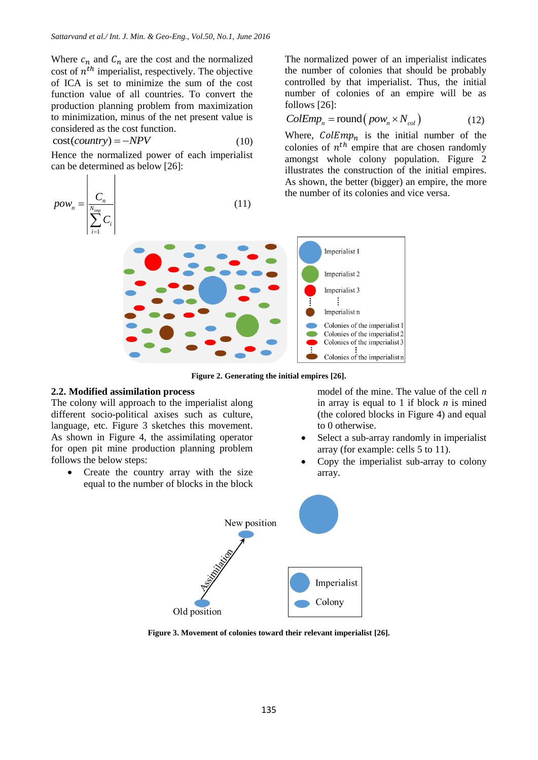Where  $c_n$  and  $c_n$  are the cost and the normalized cost of  $n^{th}$  imperialist, respectively. The objective of ICA is set to minimize the sum of the cost function value of all countries. To convert the production planning problem from maximization to minimization, minus of the net present value is considered as the cost function.

$$
cost(country) = -NPV
$$
 (10)

Hence the normalized power of each imperialist can be determined as below [26]:

 $\mathbf{I}$ 

 $\mathbf{I}$ 

$$
pow_n = \frac{\left| \frac{C_n}{N_{imp}} \right|}{\sum_{i=1}^{N_{imp}} C_i} \tag{11}
$$

The normalized power of an imperialist indicates the number of colonies that should be probably controlled by that imperialist. Thus, the initial number of colonies of an empire will be as follows [26]:

$$
ColEmp_n = \text{round}(pow_n \times N_{col})
$$
 (12)

Where,  $\text{ColEmp}_n$  is the initial number of the colonies of  $n^{th}$  empire that are chosen randomly amongst whole colony population. Figure 2 illustrates the construction of the initial empires. As shown, the better (bigger) an empire, the more the number of its colonies and vice versa.



**Figure 2. Generating the initial empires [26].**

## **2.2. Modified assimilation process**

The colony will approach to the imperialist along different socio-political axises such as culture, language, etc. Figure 3 sketches this movement. As shown in Figure 4, the assimilating operator for open pit mine production planning problem follows the below steps:

• Create the country array with the size equal to the number of blocks in the block

model of the mine. The value of the cell *n* in array is equal to 1 if block *n* is mined (the colored blocks in Figure 4) and equal to 0 otherwise.

- Select a sub-array randomly in imperialist array (for example: cells 5 to 11).
- Copy the imperialist sub-array to colony array.



**Figure 3. Movement of colonies toward their relevant imperialist [26].**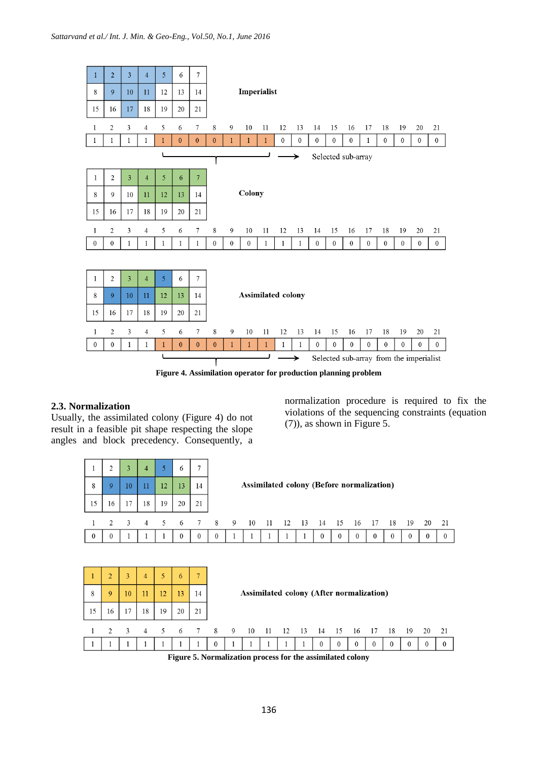

**Figure 4. Assimilation operator for production planning problem**

# **2.3. Normalization**

15

 $\overline{1}$  $\mathbf{1}$  16 17 18 19

Usually, the assimilated colony (Figure 4) do not result in a feasible pit shape respecting the slope angles and block precedency. Consequently, a

> > $21$

20

normalization procedure is required to fix the violations of the sequencing constraints (equation (7)), as shown in Figure 5.

| л.<br>8<br>15 | 2<br>9<br>16        | 3<br>10<br>17 | $\overline{4}$<br>11<br>18 | 5<br>12<br>19 | 6<br>13 <sup>°</sup><br>20 | 7<br>14<br>21        |                            |         | Assimilated colony (Before normalization) |     |    |      |                      |                     |                  |                    |                |                 |                               |                    |
|---------------|---------------------|---------------|----------------------------|---------------|----------------------------|----------------------|----------------------------|---------|-------------------------------------------|-----|----|------|----------------------|---------------------|------------------|--------------------|----------------|-----------------|-------------------------------|--------------------|
| $\mathbf{0}$  | 2<br>$\theta$       | 3             | $\overline{4}$             | 5<br>-1       | 6<br>$\theta$              | 7<br>$\theta$        | 8 <sup>8</sup><br>$\theta$ | 9<br>ı. | - 10<br>ı.                                | -11 | 12 | - 13 | - 14<br>$\mathbf{0}$ | -15<br>$\mathbf{0}$ | - 16<br>$\theta$ | 17<br>$\mathbf{0}$ | 18<br>$\theta$ | -19<br>$\theta$ | <sup>20</sup><br>$\mathbf{0}$ | 21<br>$\mathbf{0}$ |
|               |                     |               |                            |               |                            |                      |                            |         |                                           |     |    |      |                      |                     |                  |                    |                |                 |                               |                    |
| 8             | $\overline{2}$<br>9 | 3<br>10       | $\overline{4}$<br>11       | 5<br>12       | 6<br>13                    | $\overline{7}$<br>14 |                            |         | Assimilated colony (After normalization)  |     |    |      |                      |                     |                  |                    |                |                 |                               |                    |

|  |  |  |  |  |  |  | 2 3 4 5 6 7 8 9 10 11 12 13 14 15 16 17 18 19 20 21 |  |  |  |
|--|--|--|--|--|--|--|-----------------------------------------------------|--|--|--|
|  |  |  |  |  |  |  |                                                     |  |  |  |

**Figure 5. Normalization process for the assimilated colony**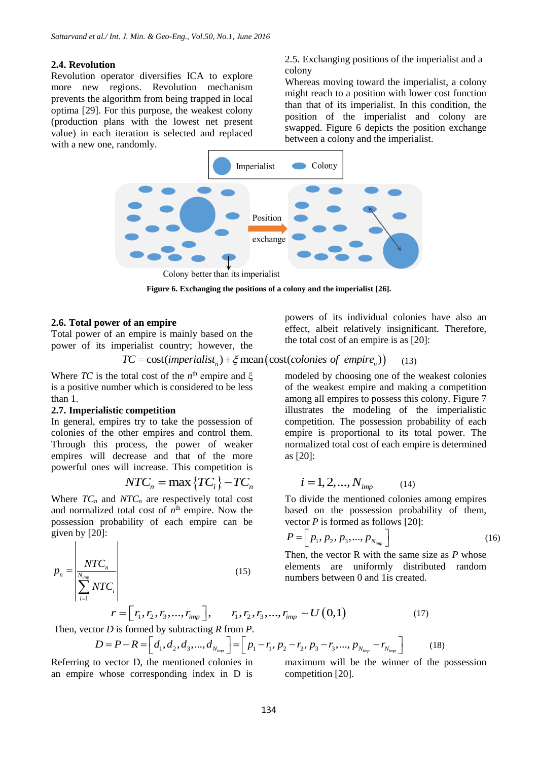#### **2.4. Revolution**

Revolution operator diversifies ICA to explore more new regions. Revolution mechanism prevents the algorithm from being trapped in local optima [29]. For this purpose, the weakest colony (production plans with the lowest net present value) in each iteration is selected and replaced with a new one, randomly.

2.5. Exchanging positions of the imperialist and a colony

Whereas moving toward the imperialist, a colony might reach to a position with lower cost function than that of its imperialist. In this condition, the position of the imperialist and colony are swapped. Figure 6 depicts the position exchange between a colony and the imperialist.



**Figure 6. Exchanging the positions of a colony and the imperialist [26].**

## **2.6. Total power of an empire**

Total power of an empire is mainly based on the power of its imperialist country; however, the

$$
TC = cost(imperialistn) + \xi mean\left(cost(colonies of empiren)\right) \tag{13}
$$

Where *TC* is the total cost of the  $n^{\text{th}}$  empire and  $\xi$ is a positive number which is considered to be less than 1.

# **2.7. Imperialistic competition**

In general, empires try to take the possession of colonies of the other empires and control them. Through this process, the power of weaker empires will decrease and that of the more powerful ones will increase. This competition is

$$
NTC_n = \max\left\{TC_i\right\} - TC_n \qquad i = 1, 2, ..., N_{imp}
$$

Where  $TC_n$  and  $NTC_n$  are respectively total cost and normalized total cost of  $n<sup>th</sup>$  empire. Now the possession probability of each empire can be given by  $[20]$ :

$$
p_n = \frac{\left| \frac{NTC_n}{N_{imp}} \right|}{\left| \sum_{i=1}^{N_{imp}} NTC_i \right|}
$$
 (15)

powers of its individual colonies have also an effect, albeit relatively insignificant. Therefore, the total cost of an empire is as [20]:

modeled by choosing one of the weakest colonies of the weakest empire and making a competition among all empires to possess this colony. Figure 7 illustrates the modeling of the imperialistic competition. The possession probability of each empire is proportional to its total power. The normalized total cost of each empire is determined as [20]:

$$
i = 1, 2, ..., N_{\text{imp}} \tag{14}
$$

To divide the mentioned colonies among empires based on the possession probability of them, vector *P* is formed as follows [20]:

$$
P = \left[ \, p_1, p_2, p_3, \dots, p_{N_{imp}} \, \right] \tag{16}
$$

Then, the vector R with the same size as *P* whose elements are uniformly distributed random numbers between 0 and 1is created.

$$
r = [r_1, r_2, r_3, ..., r_{imp}], \t r_1, r_2, r_3, ..., r_{imp} \sim U(0,1)
$$
\n(17)

Then, vector *D* is formed by subtracting *R* from *P*.

$$
D = P - R = \left[ d_1, d_2, d_3, ..., d_{N_{imp}} \right] = \left[ p_1 - r_1, p_2 - r_2, p_3 - r_3, ..., p_{N_{imp}} - r_{N_{imp}} \right]
$$
(18)

Referring to vector D, the mentioned colonies in an empire whose corresponding index in D is

maximum will be the winner of the possession competition [20].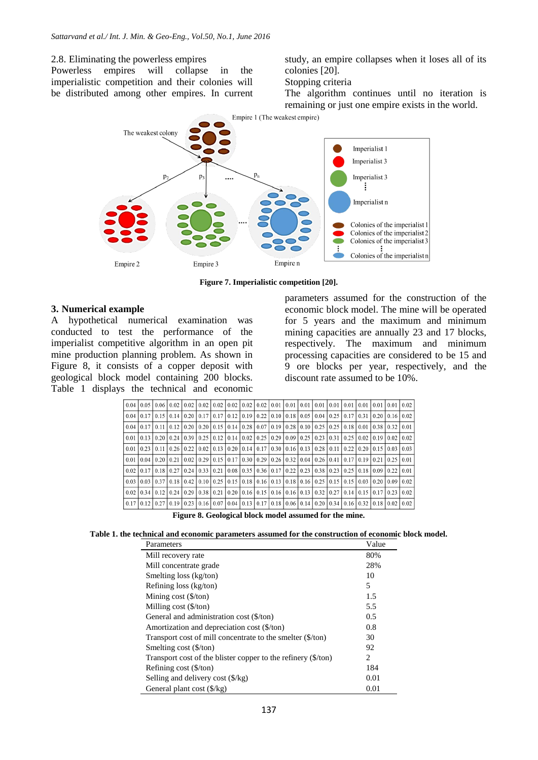## 2.8. Eliminating the powerless empires

Powerless empires will collapse in the imperialistic competition and their colonies will be distributed among other empires. In current study, an empire collapses when it loses all of its colonies [20].

Stopping criteria

The algorithm continues until no iteration is remaining or just one empire exists in the world.



**Figure 7. Imperialistic competition [20].**

#### **3. Numerical example**

A hypothetical numerical examination was conducted to test the performance of the imperialist competitive algorithm in an open pit mine production planning problem. As shown in Figure 8, it consists of a copper deposit with geological block model containing 200 blocks. Table 1 displays the technical and economic parameters assumed for the construction of the economic block model. The mine will be operated for 5 years and the maximum and minimum mining capacities are annually 23 and 17 blocks, respectively. The maximum and minimum processing capacities are considered to be 15 and 9 ore blocks per year, respectively, and the discount rate assumed to be 10%.

| 0.04 | 0.051                                                                                                                                                  | $0.06 \pm 0.02$ |       |                                                                                                                                               | $0.02$   $0.02$   $0.02$   $0.02$ |                      |                                                                                           |                             |  |                                    |               | $0.02$   0.02   0.01   0.01   0.01   0.01   0.01   0.01   0.01 |      |                  | $0.01$   0.01 | 0.02 |
|------|--------------------------------------------------------------------------------------------------------------------------------------------------------|-----------------|-------|-----------------------------------------------------------------------------------------------------------------------------------------------|-----------------------------------|----------------------|-------------------------------------------------------------------------------------------|-----------------------------|--|------------------------------------|---------------|----------------------------------------------------------------|------|------------------|---------------|------|
| 0.04 | 0.17                                                                                                                                                   | 0.15            |       | $0.14$   0.20   0.17   0.17   0.12                                                                                                            |                                   |                      | 0.19                                                                                      | $0.22$   0.10   0.18   0.05 |  |                                    | $0.04$   0.25 | 0.17                                                           | 0.31 |                  | 0.2010.161    | 0.02 |
| 0.04 | 0.17                                                                                                                                                   | 0.11            | 10.12 |                                                                                                                                               | 0.20   0.20   0.15   0.14         |                      |                                                                                           |                             |  |                                    |               | $0.28$   0.07   0.19   0.28   0.10   0.25   0.25   0.18   0.01 |      | $0.38$ 0.32      |               | 0.01 |
| 0.01 | 0.131                                                                                                                                                  |                 |       | 0.2010.2410.3910.2510.1210.141                                                                                                                |                                   |                      |                                                                                           |                             |  |                                    |               | $0.02$   0.25   0.29   0.09   0.25   0.23   0.31   0.25   0.02 |      | $0.19$   $0.02$  |               | 0.02 |
| 0.01 | 0.23                                                                                                                                                   | 011             | 0.26  | 0.22                                                                                                                                          | 0.02                              |                      | $\vert 0.13 \vert 0.20 \vert 0.14 \vert 0.17 \vert 0.30 \vert 0.16 \vert 0.13 \vert 0.28$ |                             |  |                                    | 0.11          | 0.22                                                           | 0.20 | $0.15 \mid 0.03$ |               | 0.03 |
| 0.01 | 0.04                                                                                                                                                   | 0.2010.21       |       | 0.021                                                                                                                                         |                                   | $0.29$   0.15   0.17 | 0.30                                                                                      |                             |  |                                    |               | $0.29$   0.26   0.32   0.04   0.26   0.41   0.17   0.19        |      | 0.21             | 10.25         | 0.01 |
| 0.02 |                                                                                                                                                        |                 |       | $0.17$   $0.18$   $0.27$   $0.24$   $0.33$   $0.21$   $0.08$   $0.35$   $0.36$   $0.17$   $0.22$   $0.23$   $0.38$   $0.23$   $0.25$   $0.18$ |                                   |                      |                                                                                           |                             |  |                                    |               |                                                                |      | $0.09$   0.22    |               | 0.01 |
| 0.03 | 0.03                                                                                                                                                   |                 |       | $0.37$   0.18   0.42   0.10   0.25   0.15                                                                                                     |                                   |                      |                                                                                           |                             |  |                                    |               | $0.18$   0.16   0.13   0.18   0.16   0.25   0.15   0.15        | 0.03 | $0.20 \mid 0.09$ |               | 0.02 |
| 0.02 | 0.34                                                                                                                                                   | 0.12            | 024   | 0.29                                                                                                                                          |                                   | $0.38$   0.21   0.20 | 0.16                                                                                      |                             |  | $0.15$   0.16   0.16   0.13   0.32 |               | $0.27$   0.14   0.15                                           |      | $0.17$   0.23    |               | 0.02 |
|      | $0.17$   $0.12$   $0.27$   $0.19$   $0.23$   $0.16$   $0.07$   $0.04$   $0.13$   $0.17$   $0.18$   $0.06$   $0.14$   $0.20$   $0.34$   $0.16$   $0.32$ |                 |       |                                                                                                                                               |                                   |                      |                                                                                           |                             |  |                                    |               |                                                                |      | $0.18$ 0.02      |               | 0.02 |

**Figure 8. Geological block model assumed for the mine.**

|  | Table 1. the technical and economic parameters assumed for the construction of economic block model. |
|--|------------------------------------------------------------------------------------------------------|
|--|------------------------------------------------------------------------------------------------------|

| Parameters                                                    | Value |
|---------------------------------------------------------------|-------|
| Mill recovery rate                                            | 80%   |
| Mill concentrate grade                                        | 28%   |
| Smelting loss (kg/ton)                                        | 10    |
| Refining loss (kg/ton)                                        | 5     |
| Mining $cost$ ( $\frac{f}{f}$ )                               | 1.5   |
| Milling cost $(\frac{5}{\tan})$                               | 5.5   |
| General and administration cost (\$/ton)                      | 0.5   |
| Amortization and depreciation cost (\$/ton)                   | 0.8   |
| Transport cost of mill concentrate to the smelter (\$/ton)    | 30    |
| Smelting cost $(\frac{5}{ton})$                               | 92    |
| Transport cost of the blister copper to the refinery (\$/ton) | 2     |
| Refining cost $(\frac{5}{ton})$                               | 184   |
| Selling and delivery cost $(\frac{6}{kg})$                    | 0.01  |
| General plant cost $(\frac{6}{kg})$                           | 0.01  |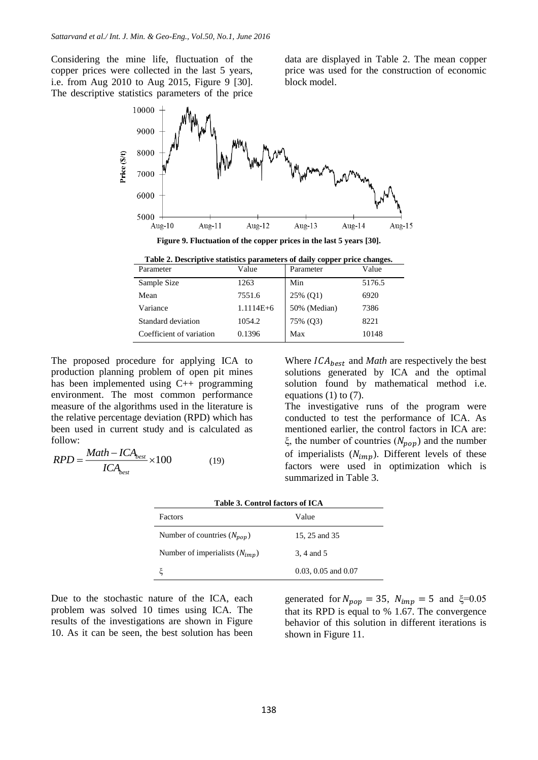Considering the mine life, fluctuation of the copper prices were collected in the last 5 years, i.e. from Aug 2010 to Aug 2015, Figure 9 [30]. The descriptive statistics parameters of the price

data are displayed in Table 2. The mean copper price was used for the construction of economic block model.



**Figure 9. Fluctuation of the copper prices in the last 5 years [30].**

**Table 2. Descriptive statistics parameters of daily copper price changes.**

| Parameter                | Value       | Parameter    | Value  |
|--------------------------|-------------|--------------|--------|
| Sample Size              | 1263        | Min          | 5176.5 |
| Mean                     | 7551.6      | 25% (Q1)     | 6920   |
| Variance                 | $1.1114E+6$ | 50% (Median) | 7386   |
| Standard deviation       | 1054.2      | 75% (Q3)     | 8221   |
| Coefficient of variation | 0.1396      | Max          | 10148  |

The proposed procedure for applying ICA to production planning problem of open pit mines has been implemented using C++ programming environment. The most common performance measure of the algorithms used in the literature is the relative percentage deviation (RPD) which has been used in current study and is calculated as follow:

$$
RPD = \frac{Math - ICA_{best}}{ICA_{best}} \times 100
$$
 (19)

Where  $ICA_{best}$  and *Math* are respectively the best solutions generated by ICA and the optimal solution found by mathematical method i.e. equations  $(1)$  to  $(7)$ .

The investigative runs of the program were conducted to test the performance of ICA. As mentioned earlier, the control factors in ICA are: ξ, the number of countries  $(N_{pop})$  and the number of imperialists  $(N_{imp})$ . Different levels of these factors were used in optimization which is summarized in Table 3.

|  | Table 3. Control factors of ICA |  |
|--|---------------------------------|--|
|  |                                 |  |

| Value                   |
|-------------------------|
| 15, 25 and 35           |
| 3, 4 and 5              |
| $0.03, 0.05$ and $0.07$ |
|                         |

Due to the stochastic nature of the ICA, each problem was solved 10 times using ICA. The results of the investigations are shown in Figure 10. As it can be seen, the best solution has been generated for  $N_{pop} = 35$ ,  $N_{imp} = 5$  and  $\xi = 0.05$ that its RPD is equal to % 1.67. The convergence behavior of this solution in different iterations is shown in Figure 11.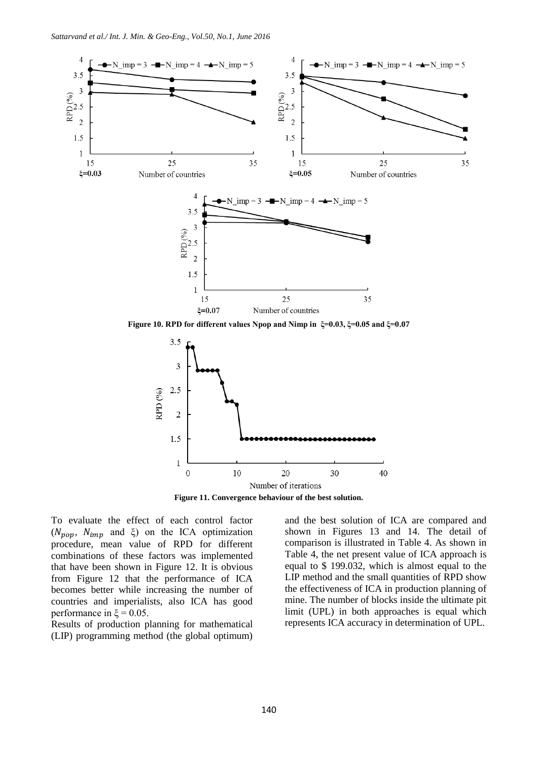

**Figure 10. RPD for different values Npop and Nimp in ξ=0.03, ξ=0.05 and ξ=0.07**



**Figure 11. Convergence behaviour of the best solution.**

To evaluate the effect of each control factor ( $N_{pop}$ ,  $N_{imp}$  and  $\xi$ ) on the ICA optimization procedure, mean value of RPD for different combinations of these factors was implemented that have been shown in Figure 12. It is obvious from Figure 12 that the performance of ICA becomes better while increasing the number of countries and imperialists, also ICA has good performance in  $\xi = 0.05$ .

Results of production planning for mathematical (LIP) programming method (the global optimum)

and the best solution of ICA are compared and shown in Figures 13 and 14. The detail of comparison is illustrated in Table 4. As shown in Table 4, the net present value of ICA approach is equal to \$ 199.032, which is almost equal to the LIP method and the small quantities of RPD show the effectiveness of ICA in production planning of mine. The number of blocks inside the ultimate pit limit (UPL) in both approaches is equal which represents ICA accuracy in determination of UPL.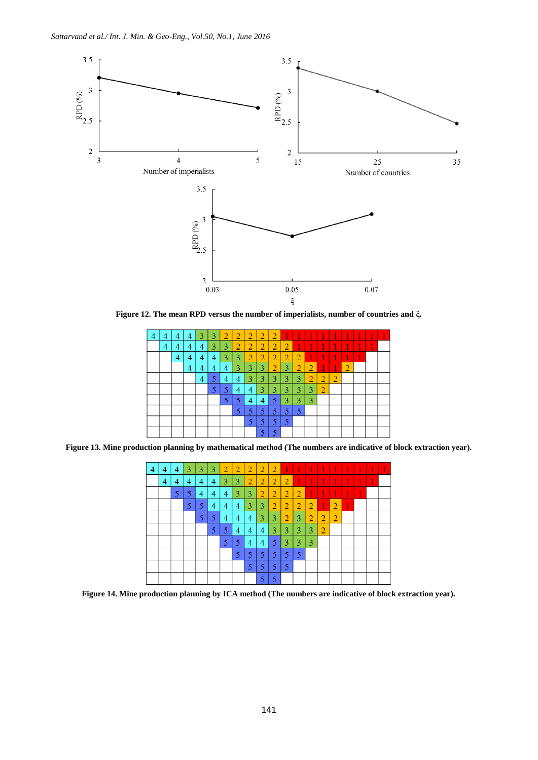

**Figure 12. The mean RPD versus the number of imperialists, number of countries and ξ.**

| $\overline{4}$ | 4 | $\overline{4}$ | 4 | 3 | 3 | $\overline{2}$ | $\overline{2}$ | $\overline{2}$ | $\overline{2}$ | $\overline{2}$ | $\overline{1}$ | 1              | 1              | T              | $\mathbf{1}$   | 1 | ť | 1 | ť |
|----------------|---|----------------|---|---|---|----------------|----------------|----------------|----------------|----------------|----------------|----------------|----------------|----------------|----------------|---|---|---|---|
|                | 4 | 4              |   | 4 | 3 | 3              | $\overline{2}$ | $\overline{2}$ | $\overline{2}$ | $\overline{2}$ | $\overline{2}$ | 1              | 1              | 1              | 1              | 1 | ı | ť |   |
|                |   | 4              | 4 | 4 | 4 | 3              | 3              | $\overline{2}$ | $\overline{2}$ | $\overline{2}$ | $\overline{2}$ | 2              | 1              | 1              | ť              | ī | 1 |   |   |
|                |   |                | 4 | 4 | 4 | 4              | 3              | 3              | 3              | $\overline{2}$ | 3              | $\overline{2}$ | $\overline{2}$ | 1              | $\mathbf{1}$   | 2 |   |   |   |
|                |   |                |   | 4 | 5 | 4              | 4              | 3              | 3              | 3              | 3              | 3              | $\overline{2}$ | $\overline{2}$ | $\overline{2}$ |   |   |   |   |
|                |   |                |   |   | 5 | 5              | 4              | 4              | 3              | 3              | 3              | 3              | 3              | 2              |                |   |   |   |   |
|                |   |                |   |   |   | 5              | 5              | 4              | 4              | 5              | 3              | 3              | 3              |                |                |   |   |   |   |
|                |   |                |   |   |   |                | 5              | 5              | 5              | 5              | 5              | 5              |                |                |                |   |   |   |   |
|                |   |                |   |   |   |                |                | 5              | 5              | 5              | 5              |                |                |                |                |   |   |   |   |
|                |   |                |   |   |   |                |                |                | K              | 5              |                |                |                |                |                |   |   |   |   |

**Figure 13. Mine production planning by mathematical method (The numbers are indicative of block extraction year).**

| 4 | 4 | $\overline{4}$ | 3 | 3 | 3 | $\overline{2}$ | $\overline{2}$ | $\overline{2}$ | $\overline{2}$ | $\overline{2}$ | $\mathbf{1}$   | 1              | 1              | $\overline{1}$ | T              | 1 | 1 | 1 |  |
|---|---|----------------|---|---|---|----------------|----------------|----------------|----------------|----------------|----------------|----------------|----------------|----------------|----------------|---|---|---|--|
|   | 4 | 4              | 4 | 4 | 4 | 3              | 3              | $\overline{2}$ | $\overline{2}$ | $\overline{2}$ | $\overline{2}$ | T              | $\mathbf{1}$   | $\mathbf{1}$   | 1              | 1 | 1 | ť |  |
|   |   | 5              | 5 | 4 | 4 | $\overline{4}$ | 3              | 3              | $\overline{2}$ | $\overline{2}$ | $\overline{2}$ | 2              | 1              | $\mathbf{1}$   | 1              | 1 | 1 |   |  |
|   |   |                | 5 | 5 | 4 | 4              | 4              | 3              | 3              | $\overline{2}$ | $\overline{2}$ | $\overline{2}$ | $\overline{2}$ | 1              | $\overline{2}$ | T |   |   |  |
|   |   |                |   | 5 | 5 | 4              | 4              | 4              | 3              | 3              | $\overline{2}$ | 3              | $\overline{2}$ | $\overline{2}$ | $\overline{2}$ |   |   |   |  |
|   |   |                |   |   | 5 | 5              | 4              | 4              | 4              | 3              | 3              | 3              | 3              | $\overline{2}$ |                |   |   |   |  |
|   |   |                |   |   |   | 5              | 5              | 4              | 4              | 5              | 3              | 3              | 3              |                |                |   |   |   |  |
|   |   |                |   |   |   |                | 5              | 5              | 5              | 5              | 5              | 5              |                |                |                |   |   |   |  |
|   |   |                |   |   |   |                |                | 5              | 5              | 5              | 5              |                |                |                |                |   |   |   |  |
|   |   |                |   |   |   |                |                |                | 5              | 5              |                |                |                |                |                |   |   |   |  |

**Figure 14. Mine production planning by ICA method (The numbers are indicative of block extraction year).**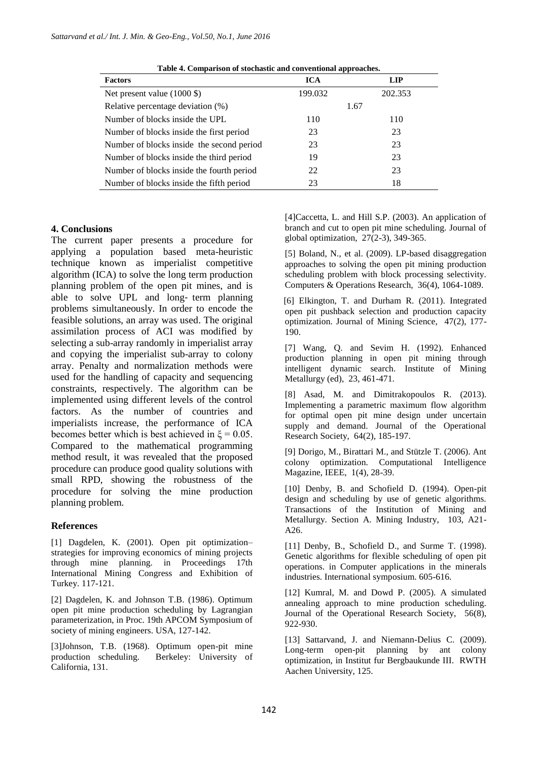| <b>Factors</b>                                           | <b>ICA</b> | <b>LIP</b> |
|----------------------------------------------------------|------------|------------|
| Net present value $(1000 \text{ } \text{\textsterling})$ | 199.032    | 202.353    |
| Relative percentage deviation (%)                        |            | 1.67       |
| Number of blocks inside the UPL                          | 110        | 110        |
| Number of blocks inside the first period                 | 23         | 23         |
| Number of blocks inside the second period                | 23         | 23         |
| Number of blocks inside the third period                 | 19         | 23         |
| Number of blocks inside the fourth period                | 22         | 23         |
| Number of blocks inside the fifth period                 | 23         | 18         |

**Table 4. Comparison of stochastic and conventional approaches.**

## **4. Conclusions**

The current paper presents a procedure for applying a population based meta-heuristic technique known as imperialist competitive algorithm (ICA) to solve the long term production planning problem of the open pit mines, and is able to solve UPL and long‐ term planning problems simultaneously. In order to encode the feasible solutions, an array was used. The original assimilation process of ACI was modified by selecting a sub-array randomly in imperialist array and copying the imperialist sub-array to colony array. Penalty and normalization methods were used for the handling of capacity and sequencing constraints, respectively. The algorithm can be implemented using different levels of the control factors. As the number of countries and imperialists increase, the performance of ICA becomes better which is best achieved in  $\xi = 0.05$ . Compared to the mathematical programming method result, it was revealed that the proposed procedure can produce good quality solutions with small RPD, showing the robustness of the procedure for solving the mine production planning problem.

# **References**

[1] Dagdelen, K. (2001). Open pit optimization– strategies for improving economics of mining projects through mine planning. in Proceedings 17th International Mining Congress and Exhibition of Turkey. 117-121.

[2] Dagdelen, K. and Johnson T.B. (1986). Optimum open pit mine production scheduling by Lagrangian parameterization, in Proc. 19th APCOM Symposium of society of mining engineers. USA, 127-142.

[3]Johnson, T.B. (1968). Optimum open-pit mine Berkeley: University of California, 131.

[4]Caccetta, L. and Hill S.P. (2003). An application of branch and cut to open pit mine scheduling. Journal of global optimization, 27(2-3), 349-365.

[5] Boland, N., et al. (2009). LP-based disaggregation approaches to solving the open pit mining production scheduling problem with block processing selectivity. Computers & Operations Research, 36(4), 1064-1089.

[6] Elkington, T. and Durham R. (2011). Integrated open pit pushback selection and production capacity optimization. Journal of Mining Science, 47(2), 177- 190.

[7] Wang, Q. and Sevim H. (1992). Enhanced production planning in open pit mining through intelligent dynamic search. Institute of Mining Metallurgy (ed), 23, 461-471.

[8] Asad, M. and Dimitrakopoulos R. (2013). Implementing a parametric maximum flow algorithm for optimal open pit mine design under uncertain supply and demand. Journal of the Operational Research Society, 64(2), 185-197.

[9] Dorigo, M., Birattari M., and Stützle T. (2006). Ant colony optimization. Computational Intelligence Magazine, IEEE, 1(4), 28-39.

[10] Denby, B. and Schofield D. (1994). Open-pit design and scheduling by use of genetic algorithms. Transactions of the Institution of Mining and Metallurgy. Section A. Mining Industry, 103, A21- A26.

[11] Denby, B., Schofield D., and Surme T. (1998). Genetic algorithms for flexible scheduling of open pit operations. in Computer applications in the minerals industries. International symposium. 605-616.

[12] Kumral, M. and Dowd P. (2005). A simulated annealing approach to mine production scheduling. Journal of the Operational Research Society, 56(8), 922-930.

[13] Sattarvand, J. and Niemann-Delius C. (2009). Long-term open-pit planning by ant colony optimization, in Institut fur Bergbaukunde III. RWTH Aachen University, 125.